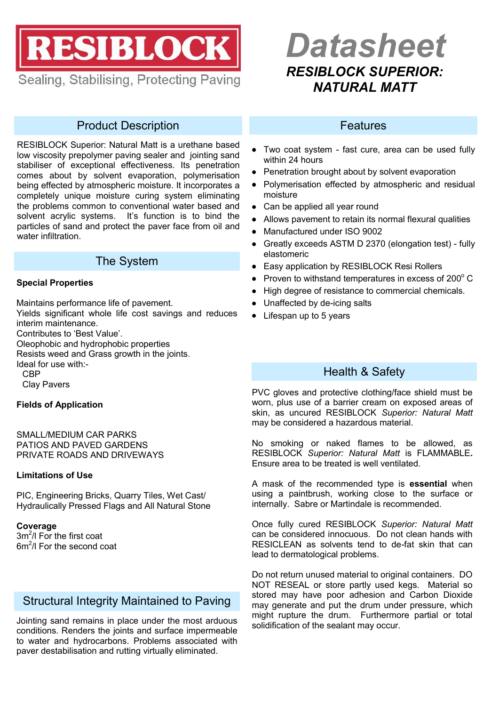

Sealing, Stabilising, Protecting Paving

# *RESIBLOCK SUPERIOR: NATURAL MATT Datasheet*

# Product Description

RESIBLOCK Superior: Natural Matt is a urethane based low viscosity prepolymer paving sealer and jointing sand stabiliser of exceptional effectiveness. Its penetration comes about by solvent evaporation, polymerisation being effected by atmospheric moisture. It incorporates a completely unique moisture curing system eliminating the problems common to conventional water based and solvent acrylic systems. It's function is to bind the particles of sand and protect the paver face from oil and water infiltration.

### The System

### **Special Properties**

Maintains performance life of pavement.

Yields significant whole life cost savings and reduces interim maintenance.

Contributes to 'Best Value'.

Oleophobic and hydrophobic properties

Resists weed and Grass growth in the joints.

Ideal for use with:-

CBP

Clay Pavers

### **Fields of Application**

SMALL/MEDIUM CAR PARKS PATIOS AND PAVED GARDENS PRIVATE ROADS AND DRIVEWAYS

### **Limitations of Use**

PIC, Engineering Bricks, Quarry Tiles, Wet Cast/ Hydraulically Pressed Flags and All Natural Stone

### **Coverage**

3m<sup>2</sup>/l For the first coat 6m<sup>2</sup>/l For the second coat

### Structural Integrity Maintained to Paving

Jointing sand remains in place under the most arduous conditions. Renders the joints and surface impermeable to water and hydrocarbons. Problems associated with paver destabilisation and rutting virtually eliminated.

### **Features**

- Two coat system fast cure, area can be used fully within 24 hours
- Penetration brought about by solvent evaporation
- Polymerisation effected by atmospheric and residual  $\bullet$ moisture
- Can be applied all year round
- Allows pavement to retain its normal flexural qualities
- Manufactured under ISO 9002
- Greatly exceeds ASTM D 2370 (elongation test) fully  $\bullet$ elastomeric
- Easy application by RESIBLOCK Resi Rollers
- Proven to withstand temperatures in excess of 200°C
- High degree of resistance to commercial chemicals.
- Unaffected by de-icing salts
- Lifespan up to 5 years

# Health & Safety

PVC gloves and protective clothing/face shield must be worn, plus use of a barrier cream on exposed areas of skin, as uncured RESIBLOCK *Superior: Natural Matt* may be considered a hazardous material.

No smoking or naked flames to be allowed, as RESIBLOCK *Superior: Natural Matt* is FLAMMABLE**.** Ensure area to be treated is well ventilated.

A mask of the recommended type is **essential** when using a paintbrush, working close to the surface or internally. Sabre or Martindale is recommended.

Once fully cured RESIBLOCK *Superior: Natural Matt* can be considered innocuous. Do not clean hands with RESICLEAN as solvents tend to de-fat skin that can lead to dermatological problems.

Do not return unused material to original containers. DO NOT RESEAL or store partly used kegs. Material so stored may have poor adhesion and Carbon Dioxide may generate and put the drum under pressure, which might rupture the drum. Furthermore partial or total solidification of the sealant may occur.